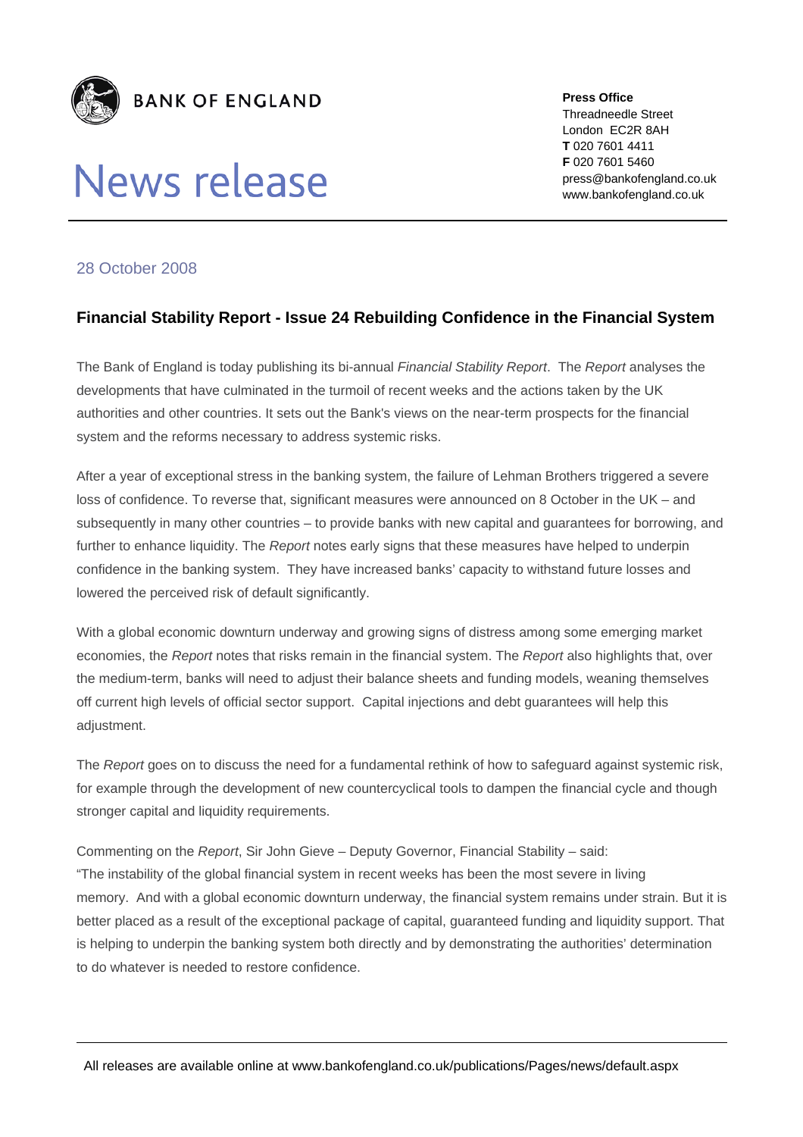

## **News release**

**Press Office**  Threadneedle Street London EC2R 8AH **T** 020 7601 4411 **F** 020 7601 5460 press@bankofengland.co.uk www.bankofengland.co.uk

## 28 October 2008

## **Financial Stability Report - Issue 24 Rebuilding Confidence in the Financial System**

The Bank of England is today publishing its bi-annual *Financial Stability Report*. The *Report* analyses the developments that have culminated in the turmoil of recent weeks and the actions taken by the UK authorities and other countries. It sets out the Bank's views on the near-term prospects for the financial system and the reforms necessary to address systemic risks.

After a year of exceptional stress in the banking system, the failure of Lehman Brothers triggered a severe loss of confidence. To reverse that, significant measures were announced on 8 October in the UK – and subsequently in many other countries – to provide banks with new capital and guarantees for borrowing, and further to enhance liquidity. The *Report* notes early signs that these measures have helped to underpin confidence in the banking system. They have increased banks' capacity to withstand future losses and lowered the perceived risk of default significantly.

With a global economic downturn underway and growing signs of distress among some emerging market economies, the *Report* notes that risks remain in the financial system. The *Report* also highlights that, over the medium-term, banks will need to adjust their balance sheets and funding models, weaning themselves off current high levels of official sector support. Capital injections and debt guarantees will help this adjustment.

The *Report* goes on to discuss the need for a fundamental rethink of how to safeguard against systemic risk, for example through the development of new countercyclical tools to dampen the financial cycle and though stronger capital and liquidity requirements.

Commenting on the *Report*, Sir John Gieve – Deputy Governor, Financial Stability – said: "The instability of the global financial system in recent weeks has been the most severe in living memory. And with a global economic downturn underway, the financial system remains under strain. But it is better placed as a result of the exceptional package of capital, guaranteed funding and liquidity support. That is helping to underpin the banking system both directly and by demonstrating the authorities' determination to do whatever is needed to restore confidence.